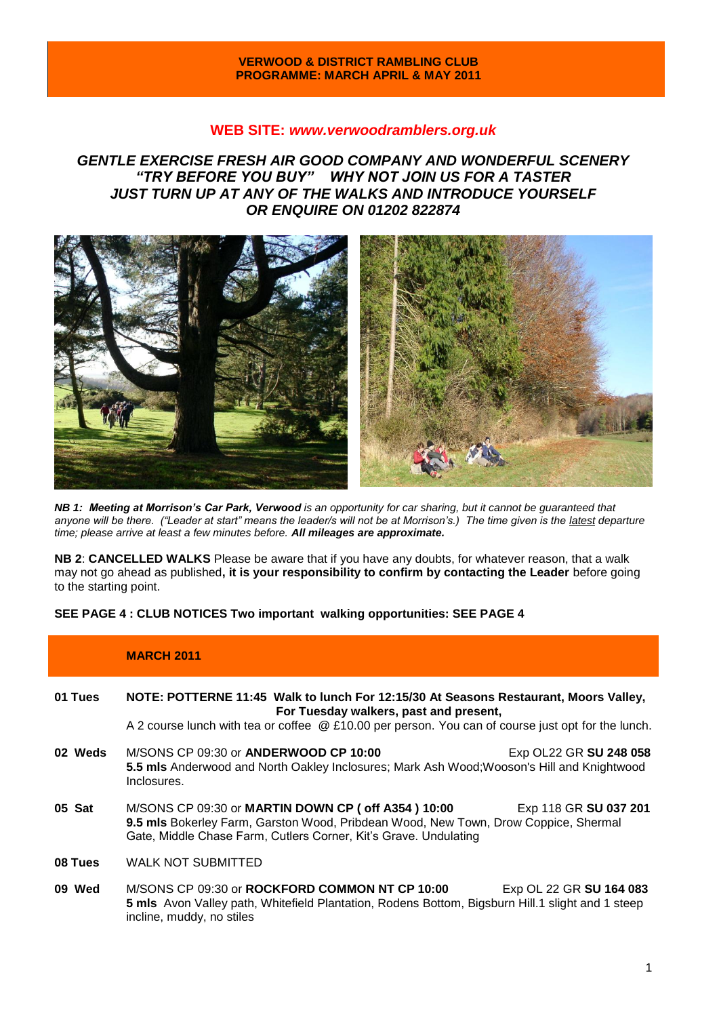### **VERWOOD & DISTRICT RAMBLING CLUB PROGRAMME: MARCH APRIL & MAY 2011**

## **WEB SITE:** *[www.verwoodramblers.org.uk](http://www.verwoodramblers.org.uk/)*

*GENTLE EXERCISE FRESH AIR GOOD COMPANY AND WONDERFUL SCENERY "TRY BEFORE YOU BUY" WHY NOT JOIN US FOR A TASTER JUST TURN UP AT ANY OF THE WALKS AND INTRODUCE YOURSELF OR ENQUIRE ON 01202 822874* 



*NB 1: Meeting at Morrison's Car Park, Verwood is an opportunity for car sharing, but it cannot be guaranteed that anyone will be there. ("Leader at start" means the leader/s will not be at Morrison's.) The time given is the latest departure time; please arrive at least a few minutes before. All mileages are approximate.*

**NB 2**: **CANCELLED WALKS** Please be aware that if you have any doubts, for whatever reason, that a walk may not go ahead as published**, it is your responsibility to confirm by contacting the Leader** before going to the starting point.

**SEE PAGE 4 : CLUB NOTICES Two important walking opportunities: SEE PAGE 4**

|         | <b>MARCH 2011</b>                                                                                                                                                                                                                       |
|---------|-----------------------------------------------------------------------------------------------------------------------------------------------------------------------------------------------------------------------------------------|
| 01 Tues | NOTE: POTTERNE 11:45 Walk to lunch For 12:15/30 At Seasons Restaurant, Moors Valley,<br>For Tuesday walkers, past and present,<br>A 2 course lunch with tea or coffee @ £10.00 per person. You can of course just opt for the lunch.    |
| 02 Weds | M/SONS CP 09:30 or ANDERWOOD CP 10:00<br>Exp OL22 GR SU 248 058<br>5.5 mls Anderwood and North Oakley Inclosures; Mark Ash Wood; Wooson's Hill and Knightwood<br>Inclosures.                                                            |
| 05 Sat  | M/SONS CP 09:30 or MARTIN DOWN CP (off A354 ) 10:00<br>Exp 118 GR SU 037 201<br>9.5 mls Bokerley Farm, Garston Wood, Pribdean Wood, New Town, Drow Coppice, Shermal<br>Gate, Middle Chase Farm, Cutlers Corner, Kit's Grave. Undulating |
| 08 Tues | <b>WALK NOT SUBMITTED</b>                                                                                                                                                                                                               |
| 09 Wed  | M/SONS CP 09:30 or ROCKFORD COMMON NT CP 10:00<br>Exp OL 22 GR SU 164 083<br>5 mls Avon Valley path, Whitefield Plantation, Rodens Bottom, Bigsburn Hill.1 slight and 1 steep<br>incline, muddy, no stiles                              |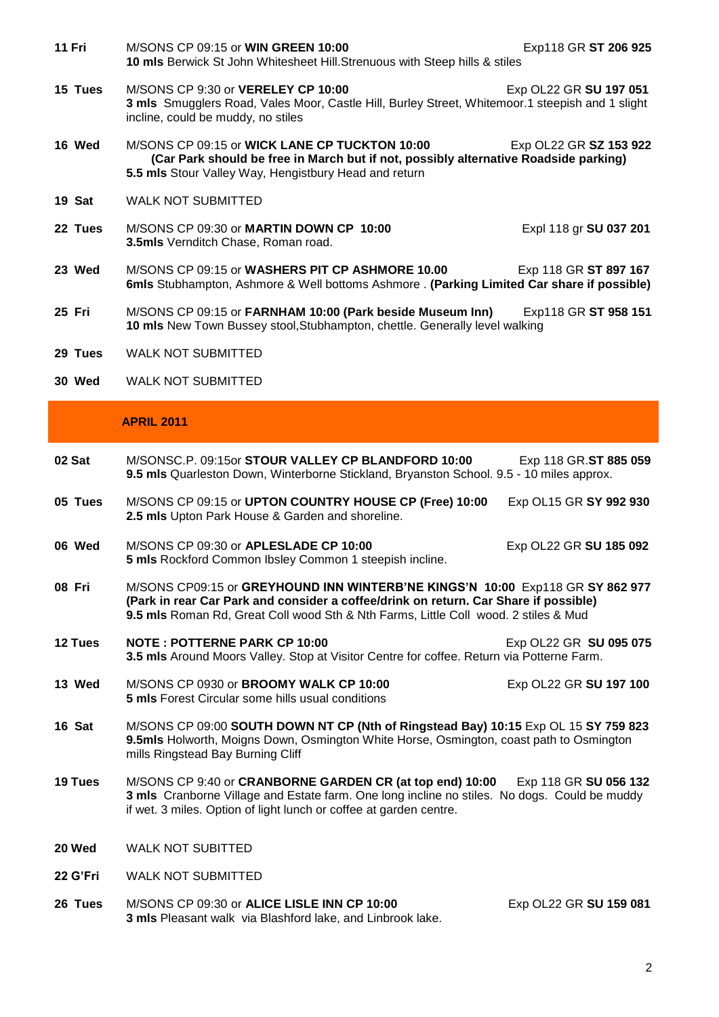- **11 Fri** M/SONS CP 09:15 or **WIN GREEN 10:00** Exp118 GR **ST 206 925 10 mls** Berwick St John Whitesheet Hill.Strenuous with Steep hills & stiles
- **15 Tues** M/SONS CP 9:30 or **VERELEY CP 10:00** Exp OL22 GR **SU 197 051 3 mls** Smugglers Road, Vales Moor, Castle Hill, Burley Street, Whitemoor.1 steepish and 1 slight incline, could be muddy, no stiles
- **16 Wed** M/SONS CP 09:15 or **WICK LANE CP TUCKTON 10:00** Exp OL22 GR **SZ 153 922 (Car Park should be free in March but if not, possibly alternative Roadside parking) 5.5 mls** Stour Valley Way, Hengistbury Head and return
- **19 Sat** WALK NOT SUBMITTED
- **22 Tues** M/SONS CP 09:30 or **MARTIN DOWN CP 10:00** Expl 118 gr **SU 037 201 3.5mls** Vernditch Chase, Roman road.
- **23 Wed** M/SONS CP 09:15 or **WASHERS PIT CP ASHMORE 10.00** Exp 118 GR **ST 897 167 6mls** Stubhampton, Ashmore & Well bottoms Ashmore . **(Parking Limited Car share if possible)**
- **25 Fri** M/SONS CP 09:15 or **FARNHAM 10:00 (Park beside Museum Inn)** Exp118 GR **ST 958 151 10 mls** New Town Bussey stool,Stubhampton, chettle. Generally level walking
- **29 Tues** WALK NOT SUBMITTED
- **30 Wed** WALK NOT SUBMITTED

### **APRIL 2011**

- **02 Sat** M/SONSC.P. 09:15or **STOUR VALLEY CP BLANDFORD 10:00** Exp 118 GR.**ST 885 059 9.5 mls** Quarleston Down, Winterborne Stickland, Bryanston School. 9.5 - 10 miles approx.
- **05 Tues** M/SONS CP 09:15 or **UPTON COUNTRY HOUSE CP (Free) 10:00** Exp OL15 GR **SY 992 930 2.5 mls** Upton Park House & Garden and shoreline.
- **06 Wed** M/SONS CP 09:30 or **APLESLADE CP 10:00** Exp OL22 GR **SU 185 092 5 mls** Rockford Common Ibsley Common 1 steepish incline.
- **08 Fri** M/SONS CP09:15 or **GREYHOUND INN WINTERB'NE KINGS'N 10:00** Exp118 GR **SY 862 977 (Park in rear Car Park and consider a coffee/drink on return. Car Share if possible) 9.5 mls** Roman Rd, Great Coll wood Sth & Nth Farms, Little Coll wood. 2 stiles & Mud
- **12 Tues NOTE : POTTERNE PARK CP 10:00** Exp OL22 GR **SU 095 075 3.5 mls** Around Moors Valley. Stop at Visitor Centre for coffee. Return via Potterne Farm.
- **13 Wed** M/SONS CP 0930 or **BROOMY WALK CP 10:00** Exp OL22 GR **SU 197 100 5 mls** Forest Circular some hills usual conditions
- **16 Sat** M/SONS CP 09:00 **SOUTH DOWN NT CP (Nth of Ringstead Bay) 10:15** Exp OL 15 **SY 759 823 9.5mls** Holworth, Moigns Down, Osmington White Horse, Osmington, coast path to Osmington mills Ringstead Bay Burning Cliff
- **19 Tues** M/SONS CP 9:40 or **CRANBORNE GARDEN CR (at top end) 10:00** Exp 118 GR **SU 056 132 3 mls** Cranborne Village and Estate farm. One long incline no stiles. No dogs. Could be muddy if wet. 3 miles. Option of light lunch or coffee at garden centre.
- **20 Wed** WALK NOT SUBITTED
- **22 G'Fri** WALK NOT SUBMITTED
- **26 Tues** M/SONS CP 09:30 or **ALICE LISLE INN CP 10:00** Exp OL22 GR **SU 159 081 3 mls** Pleasant walk via Blashford lake, and Linbrook lake.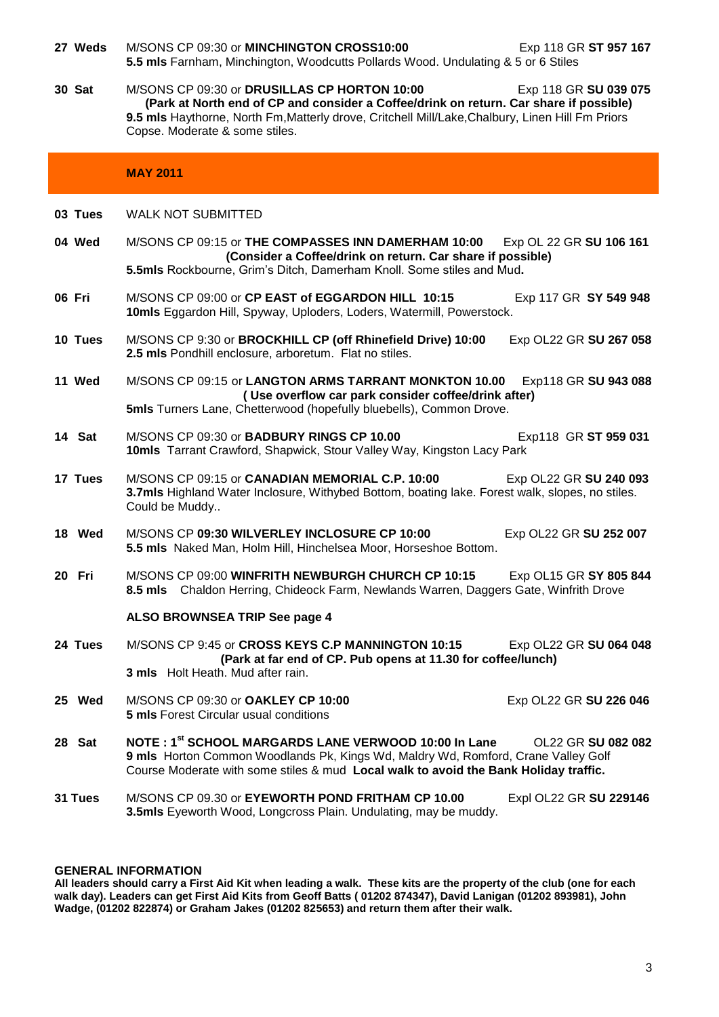| 27 Weds | M/SONS CP 09:30 or MINCHINGTON CROSS10:00<br>Exp 118 GR ST 957 167<br>5.5 mls Farnham, Minchington, Woodcutts Pollards Wood. Undulating & 5 or 6 Stiles                                                                                                                                               |
|---------|-------------------------------------------------------------------------------------------------------------------------------------------------------------------------------------------------------------------------------------------------------------------------------------------------------|
| 30 Sat  | M/SONS CP 09:30 or DRUSILLAS CP HORTON 10:00<br>Exp 118 GR SU 039 075<br>(Park at North end of CP and consider a Coffee/drink on return. Car share if possible)<br>9.5 mls Haythorne, North Fm, Matterly drove, Critchell Mill/Lake, Chalbury, Linen Hill Fm Priors<br>Copse. Moderate & some stiles. |
|         | <b>MAY 2011</b>                                                                                                                                                                                                                                                                                       |
| 03 Tues | <b>WALK NOT SUBMITTED</b>                                                                                                                                                                                                                                                                             |
| 04 Wed  | M/SONS CP 09:15 or THE COMPASSES INN DAMERHAM 10:00<br>Exp OL 22 GR SU 106 161<br>(Consider a Coffee/drink on return. Car share if possible)<br>5.5mls Rockbourne, Grim's Ditch, Damerham Knoll. Some stiles and Mud.                                                                                 |
| 06 Fri  | M/SONS CP 09:00 or CP EAST of EGGARDON HILL 10:15<br>Exp 117 GR SY 549 948<br>10mls Eggardon Hill, Spyway, Uploders, Loders, Watermill, Powerstock.                                                                                                                                                   |
| 10 Tues | M/SONS CP 9:30 or BROCKHILL CP (off Rhinefield Drive) 10:00<br>Exp OL22 GR SU 267 058<br>2.5 mls Pondhill enclosure, arboretum. Flat no stiles.                                                                                                                                                       |
| 11 Wed  | M/SONS CP 09:15 or LANGTON ARMS TARRANT MONKTON 10.00<br>Exp118 GR SU 943 088<br>(Use overflow car park consider coffee/drink after)<br>5mls Turners Lane, Chetterwood (hopefully bluebells), Common Drove.                                                                                           |
| 14 Sat  | M/SONS CP 09:30 or BADBURY RINGS CP 10.00<br>Exp118 GR ST 959 031<br>10mls Tarrant Crawford, Shapwick, Stour Valley Way, Kingston Lacy Park                                                                                                                                                           |
| 17 Tues | M/SONS CP 09:15 or CANADIAN MEMORIAL C.P. 10:00<br>Exp OL22 GR SU 240 093<br>3.7mls Highland Water Inclosure, Withybed Bottom, boating lake. Forest walk, slopes, no stiles.<br>Could be Muddy                                                                                                        |
| 18 Wed  | M/SONS CP 09:30 WILVERLEY INCLOSURE CP 10:00<br>Exp OL22 GR SU 252 007<br>5.5 mls Naked Man, Holm Hill, Hinchelsea Moor, Horseshoe Bottom.                                                                                                                                                            |
| 20 Fri  | M/SONS CP 09:00 WINFRITH NEWBURGH CHURCH CP 10:15<br>Exp OL15 GR SY 805 844<br>8.5 mls Chaldon Herring, Chideock Farm, Newlands Warren, Daggers Gate, Winfrith Drove                                                                                                                                  |
|         | ALSO BROWNSEA TRIP See page 4                                                                                                                                                                                                                                                                         |
| 24 Tues | M/SONS CP 9:45 or CROSS KEYS C.P MANNINGTON 10:15<br>Exp OL22 GR SU 064 048<br>(Park at far end of CP. Pub opens at 11.30 for coffee/lunch)<br>3 mls Holt Heath. Mud after rain.                                                                                                                      |
| 25 Wed  | M/SONS CP 09:30 or OAKLEY CP 10:00<br>Exp OL22 GR SU 226 046<br><b>5 mls</b> Forest Circular usual conditions                                                                                                                                                                                         |
| 28 Sat  | NOTE: 1 <sup>st</sup> SCHOOL MARGARDS LANE VERWOOD 10:00 In Lane<br>OL22 GR SU 082 082<br>9 mls Horton Common Woodlands Pk, Kings Wd, Maldry Wd, Romford, Crane Valley Golf<br>Course Moderate with some stiles & mud Local walk to avoid the Bank Holiday traffic.                                   |
| 31 Tues | M/SONS CP 09.30 or EYEWORTH POND FRITHAM CP 10.00<br>Expl OL22 GR SU 229146<br>3.5mls Eyeworth Wood, Longcross Plain. Undulating, may be muddy.                                                                                                                                                       |

# **GENERAL INFORMATION**

**All leaders should carry a First Aid Kit when leading a walk. These kits are the property of the club (one for each walk day). Leaders can get First Aid Kits from Geoff Batts ( 01202 874347), David Lanigan (01202 893981), John Wadge, (01202 822874) or Graham Jakes (01202 825653) and return them after their walk.**